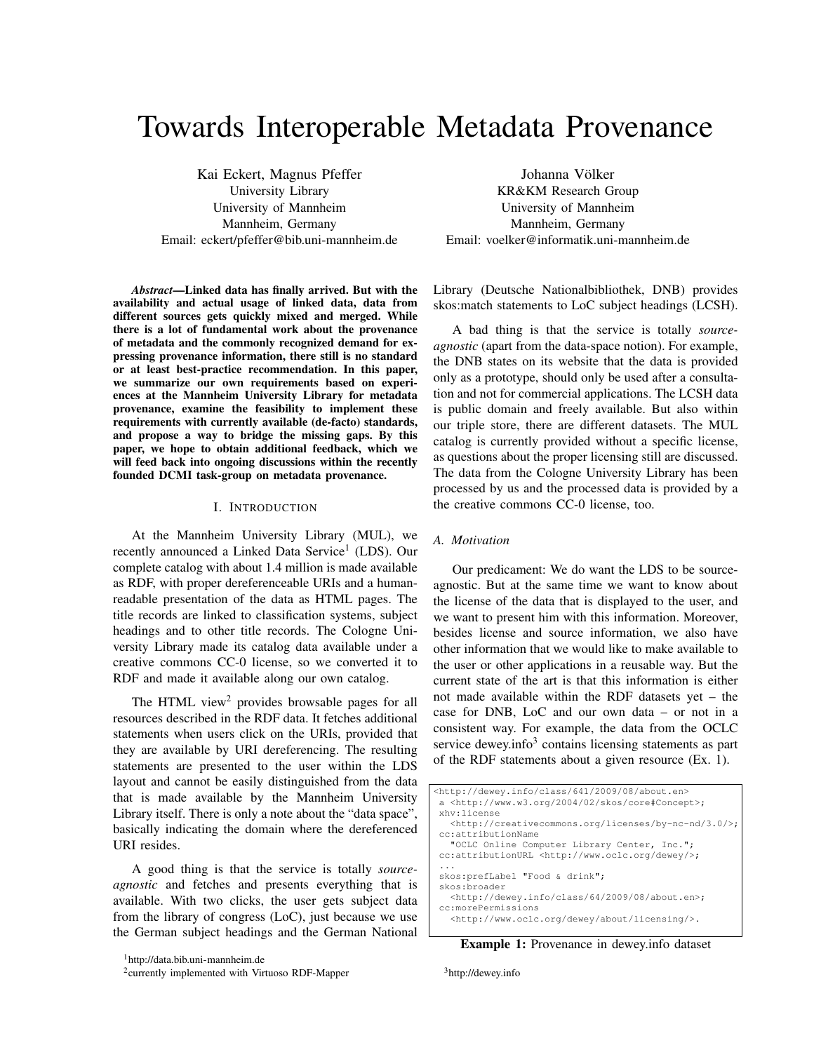# Towards Interoperable Metadata Provenance

Kai Eckert, Magnus Pfeffer University Library University of Mannheim Mannheim, Germany Email: eckert/pfeffer@bib.uni-mannheim.de

*Abstract*—Linked data has finally arrived. But with the availability and actual usage of linked data, data from different sources gets quickly mixed and merged. While there is a lot of fundamental work about the provenance of metadata and the commonly recognized demand for expressing provenance information, there still is no standard or at least best-practice recommendation. In this paper, we summarize our own requirements based on experiences at the Mannheim University Library for metadata provenance, examine the feasibility to implement these requirements with currently available (de-facto) standards, and propose a way to bridge the missing gaps. By this paper, we hope to obtain additional feedback, which we will feed back into ongoing discussions within the recently founded DCMI task-group on metadata provenance.

#### I. INTRODUCTION

At the Mannheim University Library (MUL), we recently announced a Linked Data Service<sup>1</sup> (LDS). Our complete catalog with about 1.4 million is made available as RDF, with proper dereferenceable URIs and a humanreadable presentation of the data as HTML pages. The title records are linked to classification systems, subject headings and to other title records. The Cologne University Library made its catalog data available under a creative commons CC-0 license, so we converted it to RDF and made it available along our own catalog.

The HTML view<sup>2</sup> provides browsable pages for all resources described in the RDF data. It fetches additional statements when users click on the URIs, provided that they are available by URI dereferencing. The resulting statements are presented to the user within the LDS layout and cannot be easily distinguished from the data that is made available by the Mannheim University Library itself. There is only a note about the "data space", basically indicating the domain where the dereferenced URI resides.

A good thing is that the service is totally *sourceagnostic* and fetches and presents everything that is available. With two clicks, the user gets subject data from the library of congress (LoC), just because we use the German subject headings and the German National

Johanna Völker KR&KM Research Group University of Mannheim Mannheim, Germany Email: voelker@informatik.uni-mannheim.de

Library (Deutsche Nationalbibliothek, DNB) provides skos:match statements to LoC subject headings (LCSH).

A bad thing is that the service is totally *sourceagnostic* (apart from the data-space notion). For example, the DNB states on its website that the data is provided only as a prototype, should only be used after a consultation and not for commercial applications. The LCSH data is public domain and freely available. But also within our triple store, there are different datasets. The MUL catalog is currently provided without a specific license, as questions about the proper licensing still are discussed. The data from the Cologne University Library has been processed by us and the processed data is provided by a the creative commons CC-0 license, too.

# *A. Motivation*

Our predicament: We do want the LDS to be sourceagnostic. But at the same time we want to know about the license of the data that is displayed to the user, and we want to present him with this information. Moreover, besides license and source information, we also have other information that we would like to make available to the user or other applications in a reusable way. But the current state of the art is that this information is either not made available within the RDF datasets yet – the case for DNB, LoC and our own data – or not in a consistent way. For example, the data from the OCLC service dewey.info<sup>3</sup> contains licensing statements as part of the RDF statements about a given resource (Ex. 1).

| <http: 08="" 2009="" 641="" about.en="" class="" dewey.info=""></http:> |
|-------------------------------------------------------------------------|
| a <http: 02="" 2004="" core#concept="" skos="" www.w3.org="">;</http:>  |
| xhv:license                                                             |
| <http: 3.0="" by-nc-nd="" creativecommons.org="" licenses=""></http:> ; |
| cc:attributionName                                                      |
| "OCLC Online Computer Library Center, Inc.";                            |
| cc:attributionURL <http: dewey="" www.oclc.org=""></http:> ;            |
|                                                                         |
| skos:prefLabel "Food & drink";                                          |
| skos: broader                                                           |
| <http: 08="" 2009="" 64="" about.en="" class="" dewey.info="">;</http:> |
| cc:morePermissions                                                      |
| <http: about="" dewey="" licensing="" www.oclc.org=""></http:> .        |
|                                                                         |

Example 1: Provenance in dewey.info dataset

<sup>3</sup>http://dewey.info

<sup>1</sup>http://data.bib.uni-mannheim.de

<sup>&</sup>lt;sup>2</sup>currently implemented with Virtuoso RDF-Mapper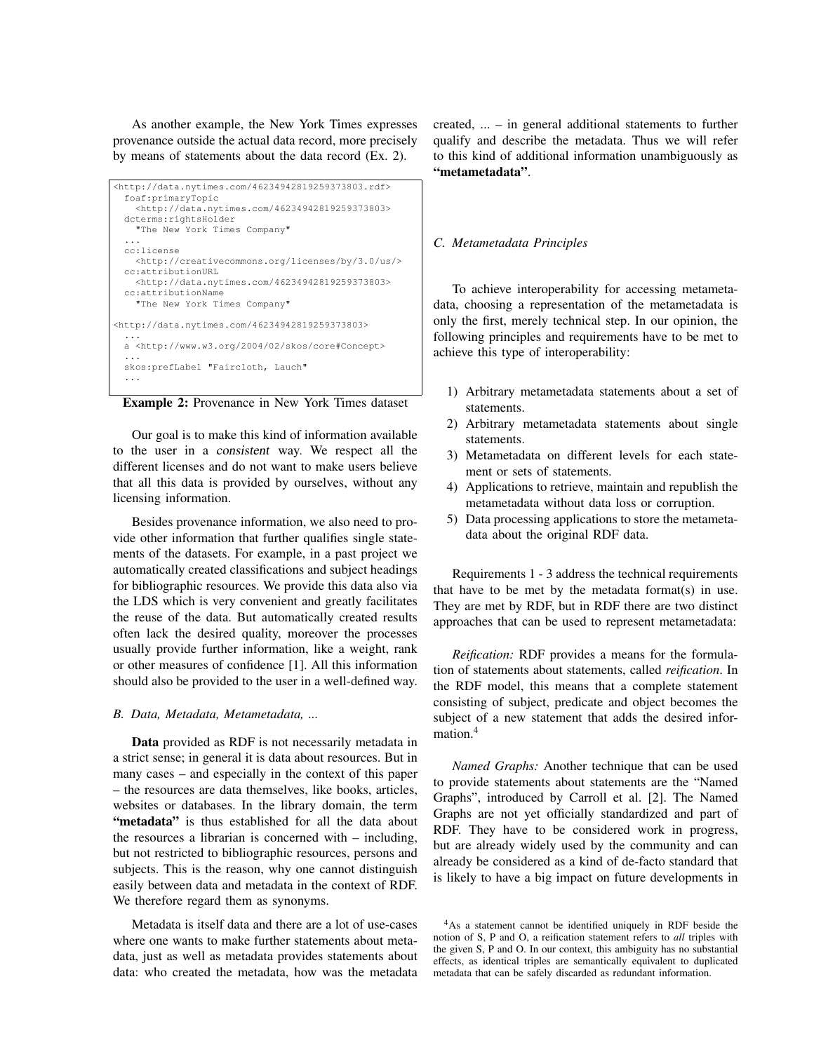As another example, the New York Times expresses provenance outside the actual data record, more precisely by means of statements about the data record (Ex. 2).

```
<http://data.nytimes.com/46234942819259373803.rdf>
 foaf:primaryTopic
   <http://data.nytimes.com/46234942819259373803>
 dcterms:rightsHolder
    "The New York Times Company"
  ...
 cc:license
   <http://creativecommons.org/licenses/by/3.0/us/>
 cc:attributionURL
    <http://data.nytimes.com/46234942819259373803>
 cc:attributionName
    "The New York Times Company"
<http://data.nytimes.com/46234942819259373803>
  ...
 a <http://www.w3.org/2004/02/skos/core#Concept>
  ...
skos:prefLabel "Faircloth, Lauch"
  ...
```


Our goal is to make this kind of information available to the user in a consistent way. We respect all the different licenses and do not want to make users believe that all this data is provided by ourselves, without any licensing information.

Besides provenance information, we also need to provide other information that further qualifies single statements of the datasets. For example, in a past project we automatically created classifications and subject headings for bibliographic resources. We provide this data also via the LDS which is very convenient and greatly facilitates the reuse of the data. But automatically created results often lack the desired quality, moreover the processes usually provide further information, like a weight, rank or other measures of confidence [1]. All this information should also be provided to the user in a well-defined way.

#### *B. Data, Metadata, Metametadata, ...*

Data provided as RDF is not necessarily metadata in a strict sense; in general it is data about resources. But in many cases – and especially in the context of this paper – the resources are data themselves, like books, articles, websites or databases. In the library domain, the term "metadata" is thus established for all the data about the resources a librarian is concerned with – including, but not restricted to bibliographic resources, persons and subjects. This is the reason, why one cannot distinguish easily between data and metadata in the context of RDF. We therefore regard them as synonyms.

Metadata is itself data and there are a lot of use-cases where one wants to make further statements about metadata, just as well as metadata provides statements about data: who created the metadata, how was the metadata created, ... – in general additional statements to further qualify and describe the metadata. Thus we will refer to this kind of additional information unambiguously as "metametadata".

#### *C. Metametadata Principles*

To achieve interoperability for accessing metametadata, choosing a representation of the metametadata is only the first, merely technical step. In our opinion, the following principles and requirements have to be met to achieve this type of interoperability:

- 1) Arbitrary metametadata statements about a set of statements.
- 2) Arbitrary metametadata statements about single statements.
- 3) Metametadata on different levels for each statement or sets of statements.
- 4) Applications to retrieve, maintain and republish the metametadata without data loss or corruption.
- 5) Data processing applications to store the metametadata about the original RDF data.

Requirements 1 - 3 address the technical requirements that have to be met by the metadata format(s) in use. They are met by RDF, but in RDF there are two distinct approaches that can be used to represent metametadata:

*Reification:* RDF provides a means for the formulation of statements about statements, called *reification*. In the RDF model, this means that a complete statement consisting of subject, predicate and object becomes the subject of a new statement that adds the desired information.<sup>4</sup>

*Named Graphs:* Another technique that can be used to provide statements about statements are the "Named Graphs", introduced by Carroll et al. [2]. The Named Graphs are not yet officially standardized and part of RDF. They have to be considered work in progress, but are already widely used by the community and can already be considered as a kind of de-facto standard that is likely to have a big impact on future developments in

<sup>4</sup>As a statement cannot be identified uniquely in RDF beside the notion of S, P and O, a reification statement refers to *all* triples with the given S, P and O. In our context, this ambiguity has no substantial effects, as identical triples are semantically equivalent to duplicated metadata that can be safely discarded as redundant information.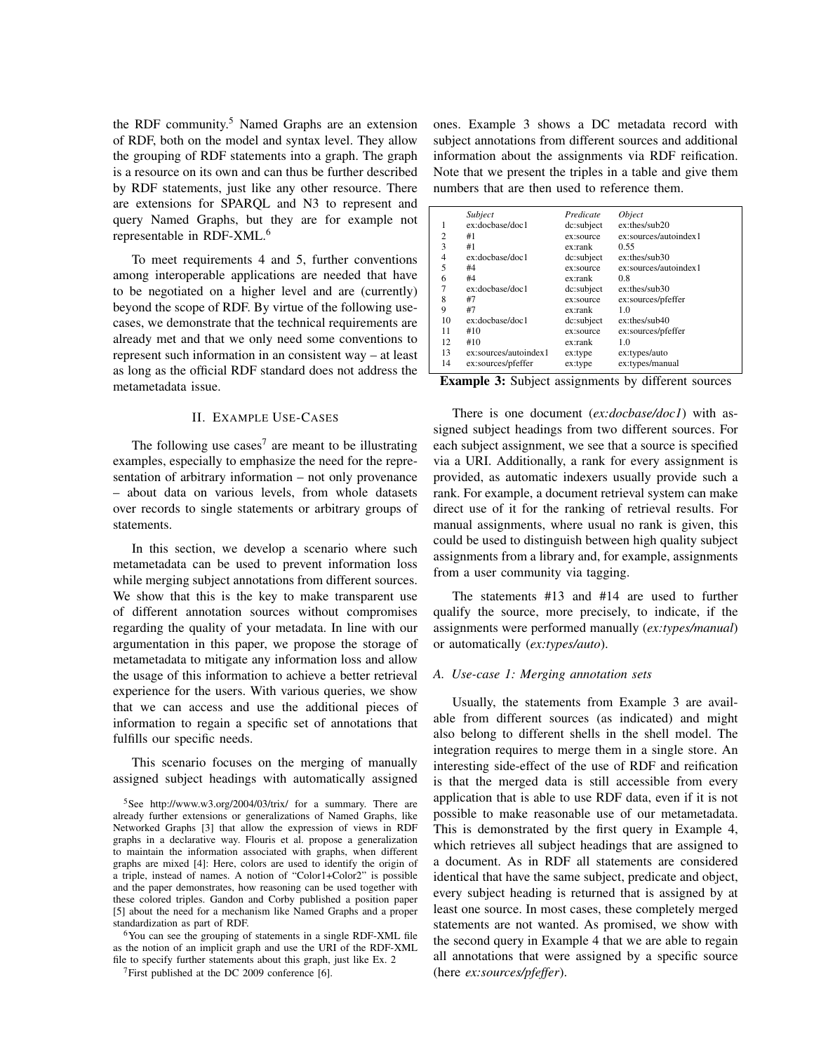the RDF community.<sup>5</sup> Named Graphs are an extension of RDF, both on the model and syntax level. They allow the grouping of RDF statements into a graph. The graph is a resource on its own and can thus be further described by RDF statements, just like any other resource. There are extensions for SPARQL and N3 to represent and query Named Graphs, but they are for example not representable in RDF-XML.<sup>6</sup>

To meet requirements 4 and 5, further conventions among interoperable applications are needed that have to be negotiated on a higher level and are (currently) beyond the scope of RDF. By virtue of the following usecases, we demonstrate that the technical requirements are already met and that we only need some conventions to represent such information in an consistent way – at least as long as the official RDF standard does not address the metametadata issue.

# II. EXAMPLE USE-CASES

The following use cases<sup>7</sup> are meant to be illustrating examples, especially to emphasize the need for the representation of arbitrary information – not only provenance – about data on various levels, from whole datasets over records to single statements or arbitrary groups of statements.

In this section, we develop a scenario where such metametadata can be used to prevent information loss while merging subject annotations from different sources. We show that this is the key to make transparent use of different annotation sources without compromises regarding the quality of your metadata. In line with our argumentation in this paper, we propose the storage of metametadata to mitigate any information loss and allow the usage of this information to achieve a better retrieval experience for the users. With various queries, we show that we can access and use the additional pieces of information to regain a specific set of annotations that fulfills our specific needs.

This scenario focuses on the merging of manually assigned subject headings with automatically assigned

<sup>6</sup>You can see the grouping of statements in a single RDF-XML file as the notion of an implicit graph and use the URI of the RDF-XML file to specify further statements about this graph, just like Ex. 2

ones. Example 3 shows a DC metadata record with subject annotations from different sources and additional information about the assignments via RDF reification. Note that we present the triples in a table and give them numbers that are then used to reference them.

|                | Subject               | Predicate  | <i><b>Object</b></i>  |
|----------------|-----------------------|------------|-----------------------|
| 1              | ex:docbase/doc1       | dc:subject | $ex:$ thes/sub $20$   |
| $\overline{c}$ | #1                    | ex:source  | ex:sources/autoindex1 |
| 3              | #1                    | ex:rank    | 0.55                  |
| 4              | ex:docbase/doc1       | dc:subject | $ex:$ thes/sub30      |
| 5              | #4                    | ex:source  | ex:sources/autoindex1 |
| 6              | #4                    | ex:rank    | 0.8                   |
|                | ex:docbase/doc1       | dc:subject | $ex:$ thes/sub30      |
| 8              | #7                    | ex:source  | ex:sources/pfeffer    |
| 9              | #7                    | ex:rank    | 1.0                   |
| 10             | ex:docbase/doc1       | dc:subject | $ex:$ thes/sub40      |
| 11             | #10                   | ex:source  | ex:sources/pfeffer    |
| 12             | #10                   | ex:rank    | 1.0                   |
| 13             | ex:sources/autoindex1 | ex:type    | ex:types/auto         |
| 14             | ex:sources/pfeffer    | ex:type    | ex:types/manual       |

Example 3: Subject assignments by different sources

There is one document (*ex:docbase/doc1*) with assigned subject headings from two different sources. For each subject assignment, we see that a source is specified via a URI. Additionally, a rank for every assignment is provided, as automatic indexers usually provide such a rank. For example, a document retrieval system can make direct use of it for the ranking of retrieval results. For manual assignments, where usual no rank is given, this could be used to distinguish between high quality subject assignments from a library and, for example, assignments from a user community via tagging.

The statements #13 and #14 are used to further qualify the source, more precisely, to indicate, if the assignments were performed manually (*ex:types/manual*) or automatically (*ex:types/auto*).

## *A. Use-case 1: Merging annotation sets*

Usually, the statements from Example 3 are available from different sources (as indicated) and might also belong to different shells in the shell model. The integration requires to merge them in a single store. An interesting side-effect of the use of RDF and reification is that the merged data is still accessible from every application that is able to use RDF data, even if it is not possible to make reasonable use of our metametadata. This is demonstrated by the first query in Example 4, which retrieves all subject headings that are assigned to a document. As in RDF all statements are considered identical that have the same subject, predicate and object, every subject heading is returned that is assigned by at least one source. In most cases, these completely merged statements are not wanted. As promised, we show with the second query in Example 4 that we are able to regain all annotations that were assigned by a specific source (here *ex:sources/pfeffer*).

<sup>5</sup>See http://www.w3.org/2004/03/trix/ for a summary. There are already further extensions or generalizations of Named Graphs, like Networked Graphs [3] that allow the expression of views in RDF graphs in a declarative way. Flouris et al. propose a generalization to maintain the information associated with graphs, when different graphs are mixed [4]: Here, colors are used to identify the origin of a triple, instead of names. A notion of "Color1+Color2" is possible and the paper demonstrates, how reasoning can be used together with these colored triples. Gandon and Corby published a position paper [5] about the need for a mechanism like Named Graphs and a proper standardization as part of RDF.

 $7$ First published at the DC 2009 conference [6].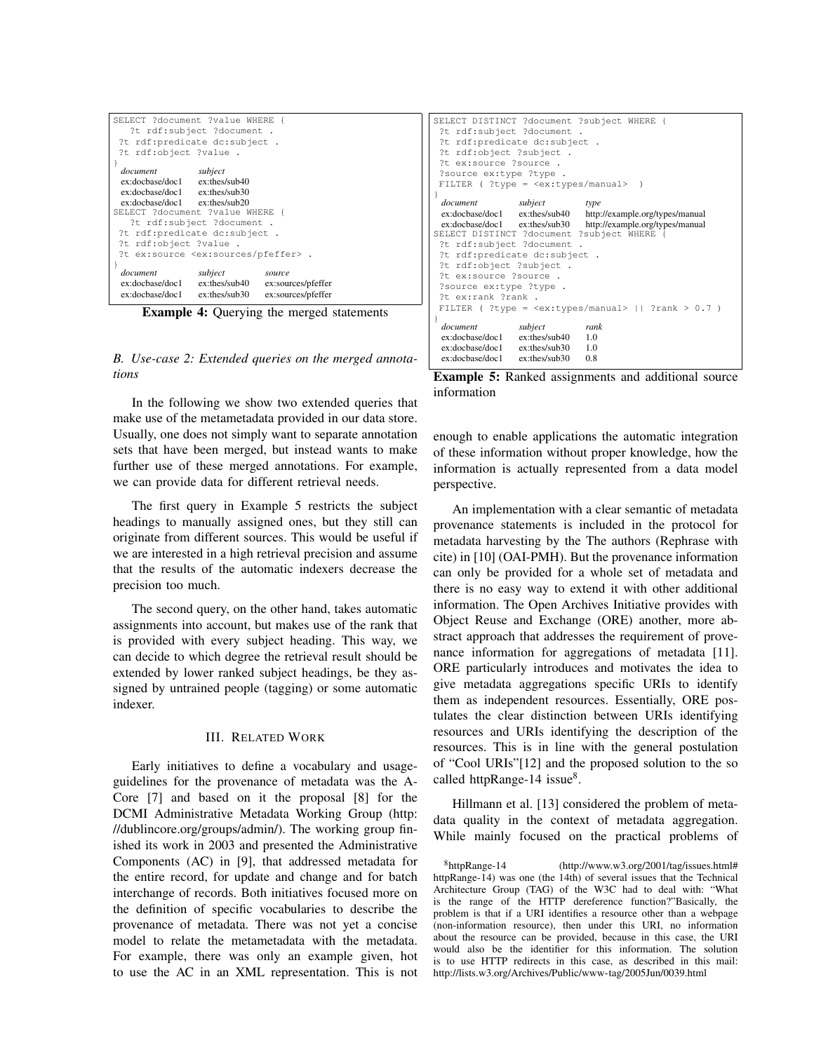| document<br>ex:docbase/doc1 ex:thes/sub40<br>ex:docbase/doc1 ex:thes/sub30 | subject | source<br>ex:sources/pfeffer<br>ex:sources/pfeffer |  |  |  |  |  |
|----------------------------------------------------------------------------|---------|----------------------------------------------------|--|--|--|--|--|
| ?t ex:source <ex:sources pfeffer=""> .</ex:sources>                        |         |                                                    |  |  |  |  |  |
| ?t rdf:object ?value.                                                      |         |                                                    |  |  |  |  |  |
| ?t rdf:predicate dc:subject.                                               |         |                                                    |  |  |  |  |  |
| ?t rdf:subject ?document .                                                 |         |                                                    |  |  |  |  |  |
| SELECT ?document ?value WHERE {                                            |         |                                                    |  |  |  |  |  |
| $ex: dochase/doc1$ $ex: the s/sub20$                                       |         |                                                    |  |  |  |  |  |
| ex:docbase/doc1 ex:thes/sub30                                              |         |                                                    |  |  |  |  |  |
| $ex: dochase/doc1$ $ex: the s/sub40$                                       |         |                                                    |  |  |  |  |  |
| document                                                                   | subject |                                                    |  |  |  |  |  |
| ?t rdf:object ?value.                                                      |         |                                                    |  |  |  |  |  |
| ?t rdf:predicate dc:subject .                                              |         |                                                    |  |  |  |  |  |
| ?t rdf:subject ?document<br>٠.                                             |         |                                                    |  |  |  |  |  |
| SELECT ?document ?value WHERE {                                            |         |                                                    |  |  |  |  |  |

Example 4: Querying the merged statements

*B. Use-case 2: Extended queries on the merged annotations*

In the following we show two extended queries that make use of the metametadata provided in our data store. Usually, one does not simply want to separate annotation sets that have been merged, but instead wants to make further use of these merged annotations. For example, we can provide data for different retrieval needs.

The first query in Example 5 restricts the subject headings to manually assigned ones, but they still can originate from different sources. This would be useful if we are interested in a high retrieval precision and assume that the results of the automatic indexers decrease the precision too much.

The second query, on the other hand, takes automatic assignments into account, but makes use of the rank that is provided with every subject heading. This way, we can decide to which degree the retrieval result should be extended by lower ranked subject headings, be they assigned by untrained people (tagging) or some automatic indexer.

### III. RELATED WORK

Early initiatives to define a vocabulary and usageguidelines for the provenance of metadata was the A-Core [7] and based on it the proposal [8] for the DCMI Administrative Metadata Working Group (http: //dublincore.org/groups/admin/). The working group finished its work in 2003 and presented the Administrative Components (AC) in [9], that addressed metadata for the entire record, for update and change and for batch interchange of records. Both initiatives focused more on the definition of specific vocabularies to describe the provenance of metadata. There was not yet a concise model to relate the metametadata with the metadata. For example, there was only an example given, hot to use the AC in an XML representation. This is not

SELECT DISTINCT ?document ?subject WHERE { ?t rdf:subject ?document . ?t rdf:predicate dc:subject . ?t rdf:object ?subject . ?t ex:source ?source . ?source ex:type ?type . FILTER ( ?type = <ex:types/manual> ) } *document subject type*<br>ex:docbase/doc1 ex:thes/sub40 http: ex:docbase/doc1 ex:thes/sub40 http://example.org/types/manual http://example.org/types/manual SELECT DISTINCT ?document ?subject WHERE { ?t rdf:subject ?document . ?t rdf:predicate dc:subject . ?t rdf:object ?subject . ?t ex:source ?source . ?source ex:type ?type . ?t ex:rank ?rank . FILTER ( ?type =  $\langle$ ex:types/manual> || ?rank > 0.7 ) } *document subject rank*<br>ex:docbase/doc1 ex:thes/sub40 1.0 ex:docbase/doc1 ex:thes/sub40 1.0<br>ex:docbase/doc1 ex:thes/sub30 1.0 ex:docbase/doc1 ex:thes/sub30 1.0<br>ex:docbase/doc1 ex:thes/sub30 0.8 ex:docbase/doc1

|             |  | <b>Example 5:</b> Ranked assignments and additional source |  |  |
|-------------|--|------------------------------------------------------------|--|--|
| information |  |                                                            |  |  |

enough to enable applications the automatic integration of these information without proper knowledge, how the information is actually represented from a data model perspective.

An implementation with a clear semantic of metadata provenance statements is included in the protocol for metadata harvesting by the The authors (Rephrase with cite) in [10] (OAI-PMH). But the provenance information can only be provided for a whole set of metadata and there is no easy way to extend it with other additional information. The Open Archives Initiative provides with Object Reuse and Exchange (ORE) another, more abstract approach that addresses the requirement of provenance information for aggregations of metadata [11]. ORE particularly introduces and motivates the idea to give metadata aggregations specific URIs to identify them as independent resources. Essentially, ORE postulates the clear distinction between URIs identifying resources and URIs identifying the description of the resources. This is in line with the general postulation of "Cool URIs"[12] and the proposed solution to the so called httpRange-14 issue<sup>8</sup>.

Hillmann et al. [13] considered the problem of metadata quality in the context of metadata aggregation. While mainly focused on the practical problems of

 $8$ httpRange-14 (http://www.w3.org/2001/tag/issues.html# httpRange-14) was one (the 14th) of several issues that the Technical Architecture Group (TAG) of the W3C had to deal with: "What is the range of the HTTP dereference function?"Basically, the problem is that if a URI identifies a resource other than a webpage (non-information resource), then under this URI, no information about the resource can be provided, because in this case, the URI would also be the identifier for this information. The solution is to use HTTP redirects in this case, as described in this mail: http://lists.w3.org/Archives/Public/www-tag/2005Jun/0039.html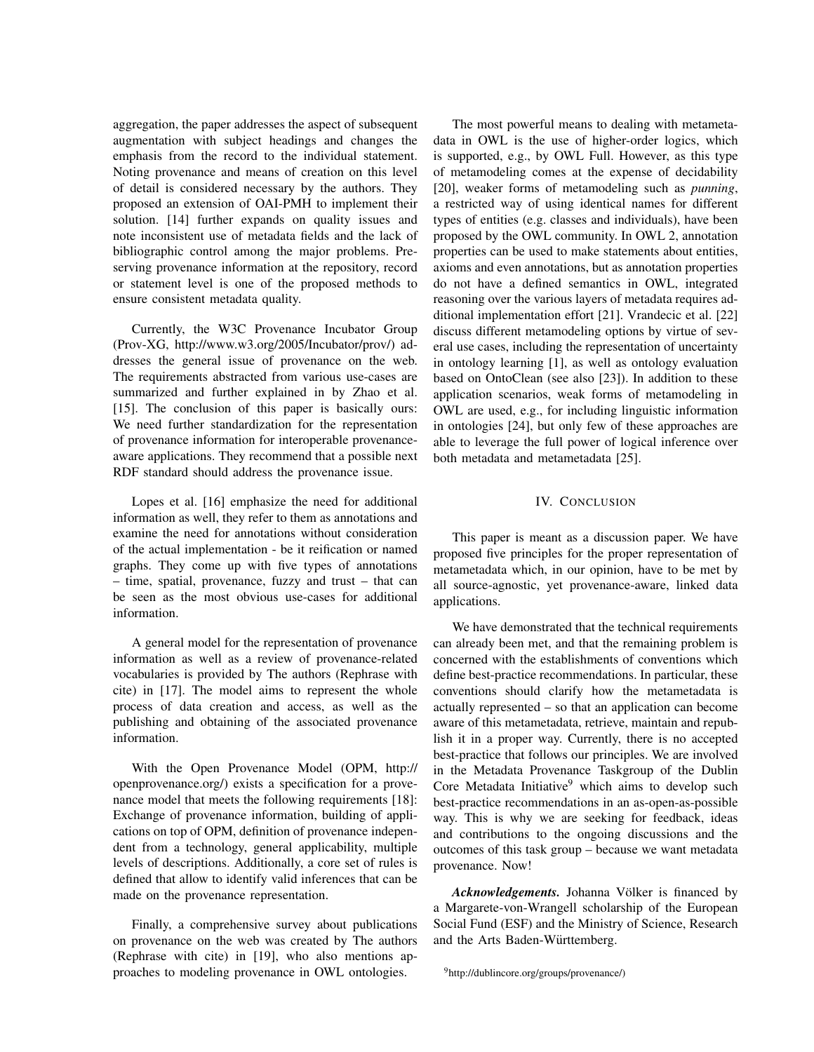aggregation, the paper addresses the aspect of subsequent augmentation with subject headings and changes the emphasis from the record to the individual statement. Noting provenance and means of creation on this level of detail is considered necessary by the authors. They proposed an extension of OAI-PMH to implement their solution. [14] further expands on quality issues and note inconsistent use of metadata fields and the lack of bibliographic control among the major problems. Preserving provenance information at the repository, record or statement level is one of the proposed methods to ensure consistent metadata quality.

Currently, the W3C Provenance Incubator Group (Prov-XG, http://www.w3.org/2005/Incubator/prov/) addresses the general issue of provenance on the web. The requirements abstracted from various use-cases are summarized and further explained in by Zhao et al. [15]. The conclusion of this paper is basically ours: We need further standardization for the representation of provenance information for interoperable provenanceaware applications. They recommend that a possible next RDF standard should address the provenance issue.

Lopes et al. [16] emphasize the need for additional information as well, they refer to them as annotations and examine the need for annotations without consideration of the actual implementation - be it reification or named graphs. They come up with five types of annotations – time, spatial, provenance, fuzzy and trust – that can be seen as the most obvious use-cases for additional information.

A general model for the representation of provenance information as well as a review of provenance-related vocabularies is provided by The authors (Rephrase with cite) in [17]. The model aims to represent the whole process of data creation and access, as well as the publishing and obtaining of the associated provenance information.

With the Open Provenance Model (OPM, http:// openprovenance.org/) exists a specification for a provenance model that meets the following requirements [18]: Exchange of provenance information, building of applications on top of OPM, definition of provenance independent from a technology, general applicability, multiple levels of descriptions. Additionally, a core set of rules is defined that allow to identify valid inferences that can be made on the provenance representation.

Finally, a comprehensive survey about publications on provenance on the web was created by The authors (Rephrase with cite) in [19], who also mentions approaches to modeling provenance in OWL ontologies.

The most powerful means to dealing with metametadata in OWL is the use of higher-order logics, which is supported, e.g., by OWL Full. However, as this type of metamodeling comes at the expense of decidability [20], weaker forms of metamodeling such as *punning*, a restricted way of using identical names for different types of entities (e.g. classes and individuals), have been proposed by the OWL community. In OWL 2, annotation properties can be used to make statements about entities, axioms and even annotations, but as annotation properties do not have a defined semantics in OWL, integrated reasoning over the various layers of metadata requires additional implementation effort [21]. Vrandecic et al. [22] discuss different metamodeling options by virtue of several use cases, including the representation of uncertainty in ontology learning [1], as well as ontology evaluation based on OntoClean (see also [23]). In addition to these application scenarios, weak forms of metamodeling in OWL are used, e.g., for including linguistic information in ontologies [24], but only few of these approaches are able to leverage the full power of logical inference over both metadata and metametadata [25].

## IV. CONCLUSION

This paper is meant as a discussion paper. We have proposed five principles for the proper representation of metametadata which, in our opinion, have to be met by all source-agnostic, yet provenance-aware, linked data applications.

We have demonstrated that the technical requirements can already been met, and that the remaining problem is concerned with the establishments of conventions which define best-practice recommendations. In particular, these conventions should clarify how the metametadata is actually represented – so that an application can become aware of this metametadata, retrieve, maintain and republish it in a proper way. Currently, there is no accepted best-practice that follows our principles. We are involved in the Metadata Provenance Taskgroup of the Dublin Core Metadata Initiative $9$  which aims to develop such best-practice recommendations in an as-open-as-possible way. This is why we are seeking for feedback, ideas and contributions to the ongoing discussions and the outcomes of this task group – because we want metadata provenance. Now!

Acknowledgements. Johanna Völker is financed by a Margarete-von-Wrangell scholarship of the European Social Fund (ESF) and the Ministry of Science, Research and the Arts Baden-Württemberg.

<sup>9</sup>http://dublincore.org/groups/provenance/)